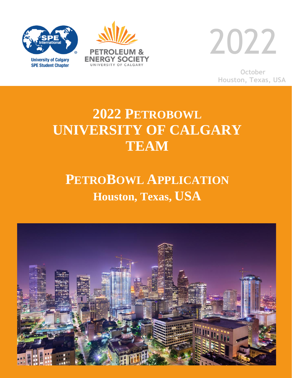

**SPE Student Chapter** 





**October Houston, Texas, USA**

# **2022 PETROBOWL UNIVERSITY OF CALGARY TEAM**

# **PETROBOWL APPLICATION Houston, Texas, USA**

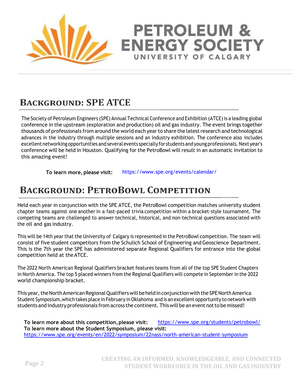

# **BACKGROUND: SPE ATCE**

The Society of Petroleum Engineers (SPE) Annual Technical Conference and Exhibition (ATCE) is a leading global conference in the upstream (exploration and production) oil and gas industry. The event brings together thousands of professionals from around the world each year to share the latest research and technological advances in the industry through multiple sessions and an industry exhibition. The conference also includes excellent networking opportunities and several events specially for students and young professionals. Next year's conference will be held in Houston. Qualifying for the PetroBowl will result in an automatic invitation to this amazing event!

**To learn more, please visit:** [https://www.spe.org/events/calendar/](http://www.spe.org/events/calendar/)

#### **BACKGROUND: PETROBOWL COMPETITION**

Held each year in conjunction with the SPE ATCE, the PetroBowl competition matches university student chapter teams against one another in a fast-paced trivia competition within a bracket-style tournament. The competing teams are challenged to answer technical, historical, and non-technical questions associated with the oil and gas industry.

This will be 14th year that the University of Calgary is represented in the PetroBowl competition. The team will consist of five student competitors from the Schulich School of Engineering and Geoscience Department. This is the 7th year the SPE has administered separate Regional Qualifiers for entrance into the global competition held at theATCE.

The 2022 North American Regional Qualifiers bracket features teams from all of the top SPE Student Chapters in North America. The top 5 placed winners from the Regional Qualifiers will compete in September in the 2022 world championship bracket.

This year, the North American Regional Qualifiers will be held in conjunction with the SPE North America Student Symposium,which takes place in February inOklahoma and is an excellent opportunity to network with students and industry professionals from across the continent. This will be an event not to be missed!

To learn more about this competition, please visit: [https://www.spe.org/students/petrobowl](http://www.spe.org/students/petrobowl/)/ **To learn more about the Student Symposium, please visit:**  https://www.spe.org/events/en/2022/symposium/22nass/north-american-student-symposium

**PETROLEUM &** 

**ENERGY SOCIETY** 

UNIVERSITY OF CALGARY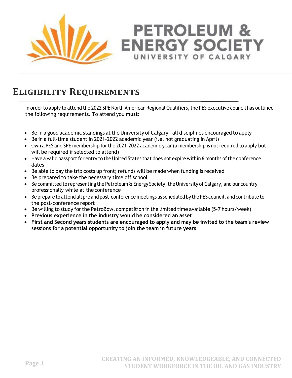

# **ELIGIBILITY REQUIREMENTS**

In order to apply to attend the 2022 SPE North American Regional Qualifiers, the PES executive council has outlined the following requirements. To attend you **must**:

**PETROLEUM &** 

**ENERGY SOCIETY** 

UNIVERSITY OF CALGARY

- Be in a good academic standings at the University of Calgary all disciplines encouraged to apply
- Be in a full-time student in 2021-2022 academic year (i.e. not graduating in April)
- Own a PES and SPE membership for the 2021-2022 academic year (a membership is not required to apply but will be required if selected to attend)
- Have a valid passport for entry to the United States that does not expire within 6 months of the conference dates
- Be able to pay the trip costs up front; refunds will be made when funding is received
- Be prepared to take the necessary time off school
- Be committed to representing the Petroleum & Energy Society, the University of Calgary, and our country professionally while at theconference
- Be prepare to attend all pre and post-conference meetings as scheduled by the PES council, and contribute to the post-conference report
- Be willing to study for the PetroBowl competition in the limited time available (5-7 hours/week)
- **Previous experience in the industry would be considered an asset**
- **First and Second years students are encouraged to apply and may be invited to the team's review sessions for a potential opportunity to join the team in future years**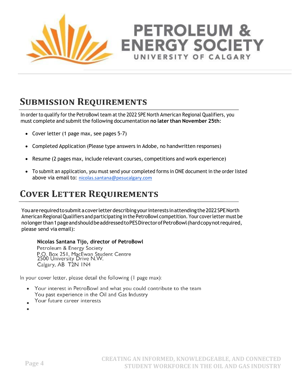

# **PETROLEUM & ENERGY SOCIETY** UNIVERSITY OF CALGARY

#### **SUBMISSION REQUIREMENTS**

In order to qualify for the PetroBowl team at the 2022 SPE North American Regional Qualifiers, you must complete and submitthe following documentation **no later than November 25th**:

- Cover letter (1 page max, see pages 5-7)
- Completed Application (Please type answers in Adobe, no handwritten responses)
- Resume (2 pages max, include relevant courses, competitions and work experience)
- To submit an application, you must send your completed forms in ONE document in the order listed above via email to: [nicolas.santana@pesucalgary.com](mailto:nicolas.santana@pesucalgary.com)

#### **COVER LETTER REQUIREMENTS**

Youarerequiredtosubmitacoverletterdescribingyourinterests inattendingthe2022SPENorth American Regional Qualifiers and participating in the PetroBowl competition. Your cover letter must be nolongerthan1pageandshouldbeaddressedtoPESDirectorofPetroBowl(hardcopynotrequired, please send via email):

#### **Nicolas Santana Tijo, director of PetroBowl**

Petroleum & Energy Society P.O. Box 251, MacEwan Student Centre<br>2500 University Drive N.W. Calgary, AB T2N IN4

In your cover letter, please detail the following (1 page max):

- Your interest in PetroBowl and what you could contribute to the team You past experience in the Oil and Gas Industry
- Your future career interests
-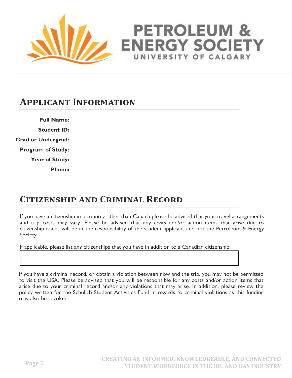

# **PETROLEUM & ENERGY SOCIET** UNIVERSITY OF CALGARY

#### **APPLICANT INFORMATION**

**Full Name: Student ID: Grad or Undergrad: Program of Study:** Year of Study:

**Phone:** 

# **CITIZENSHIP AND CRIMINAL RECORD**

If you have a citizenship in a country other than Canada please be advised that your travel arrangements and trip costs may vary. Please be advised that any costs and/or action items that arise due to citizenship issues will be at the responsibility of the student applicant and not the Petroleum & Energy Society.

If applicable, please list any citizenships that you have in addition to a Canadian citizenship:

If you have a criminal record, or obtain a violation between now and the trip, you may not be permitted to visit the USA. Please be advised that you will be responsible for any costs and/or action items that arise due to your criminal record and/or any violations that may arise. In addition, please review the policy written for the Schulich Student Activities Fund in regards to criminal violations as this funding may also be revoked.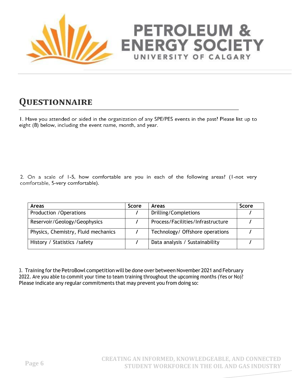

# **PETROLEUM & ENERGY SOCIETY** UNIVERSITY OF CALGARY

# **QUESTIONNAIRE**

I. Have you attended or aided in the organization of any SPE/PES events in the past? Please list up to eight (8) below, including the event name, month, and year.

2. On a scale of 1-5, how comfortable are you in each of the following areas? (1-not very comfortable, 5-very comfortable).

| Areas                               | <b>Score</b> | <b>Areas</b>                      | <b>Score</b> |
|-------------------------------------|--------------|-----------------------------------|--------------|
| Production / Operations             |              | Drilling/Completions              |              |
| Reservoir/Geology/Geophysics        |              | Process/Facilities/Infrastructure |              |
| Physics, Chemistry, Fluid mechanics |              | Technology/ Offshore operations   |              |
| History / Statistics / safety       |              | Data analysis / Sustainability    |              |

3. Training for the PetroBowl competition will be done over between November 2021 and February 2022. Are you able to commit your time to team training throughout the upcoming months (Yes or No)? Please indicate any regular commitments that may prevent you from doing so: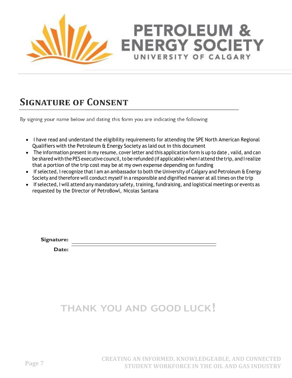

# **PETROLEUM & ENERGY SOCIETY** UNIVERSITY OF CALGARY

#### **SIGNATURE OF CONSENT**

By signing your name below and dating this form you are indicating the following:

- I have read and understand the eligibility requirements for attending the SPE North American Regional Qualifiers with the Petroleum & Energy Society as laid out in this document
- The information present in my resume, cover letter and this application form is up to date, valid, and can be shared with the PES executive council, to be refunded (if applicable) when I attend the trip, and I realize that a portion of the trip cost may be at my own expense depending on funding
- If selected, I recognize that I am an ambassador to both the University of Calgary and Petroleum & Energy Society and therefore will conduct myself in a responsible and dignified manner at all times on the trip
- If selected, I will attend any mandatory safety, training, fundraising, and logistical meetings or events as requested by the Director of PetroBowl, Nicolas Santana

Signature:

Date:

# **THANK YOU AND GOOD LUCK!**